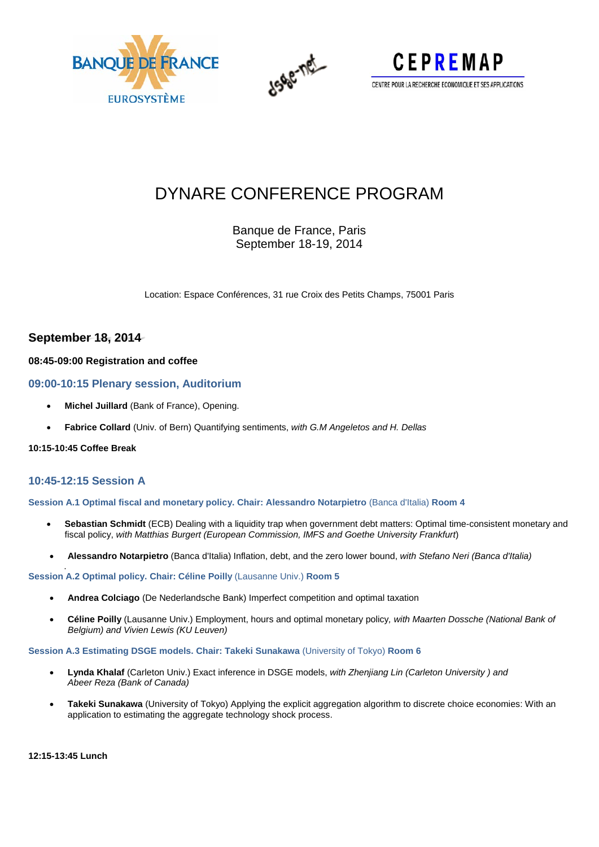





# DYNARE CONFERENCE PROGRAM

Banque de France, Paris September 18-19, 2014

Location: Espace Conférences, 31 rue Croix des Petits Champs, 75001 Paris

# **September 18, 2014**

### **08:45-09:00 Registration and coffee**

### **09:00-10:15 Plenary session, Auditorium**

- **Michel Juillard** (Bank of France), Opening.
- **Fabrice Collard** (Univ. of Bern) Quantifying sentiments, *with G.M Angeletos and H. Dellas*

### **10:15-10:45 Coffee Break**

## **10:45-12:15 Session A**

**Session A.1 Optimal fiscal and monetary policy. Chair: Alessandro Notarpietro** (Banca d'Italia) **Room 4**

- **Sebastian Schmidt** (ECB) Dealing with a liquidity trap when government debt matters: Optimal time-consistent monetary and fiscal policy, *with [Matthias Burgert](https://www.ecb.europa.eu/pub/research/authors/profiles/matthias-burgert.en.html) (European Commission, IMFS and Goethe University Frankfurt*)
- **Alessandro Notarpietro** (Banca d'Italia) Inflation, debt, and the zero lower bound, *with Stefano Neri (Banca d'Italia)*

#### . **Session A.2 Optimal policy. Chair: Céline Poilly** (Lausanne Univ.) **Room 5**

- **Andrea Colciago** (De Nederlandsche Bank) Imperfect competition and optimal taxation
- **Céline Poilly** (Lausanne Univ.) Employment, hours and optimal monetary policy*, with Maarten Dossche (National Bank of Belgium) and Vivien Lewis (KU Leuven)*

#### **Session A.3 Estimating DSGE models. Chair: Takeki Sunakawa** (University of Tokyo) **Room 6**

- **Lynda Khalaf** (Carleton Univ.) Exact inference in DSGE models, *with Zhenjiang Lin (Carleton University ) and Abeer Reza (Bank of Canada)*
- **Takeki Sunakawa** (University of Tokyo) Applying the explicit aggregation algorithm to discrete choice economies: With an application to estimating the aggregate technology shock process.

**12:15-13:45 Lunch**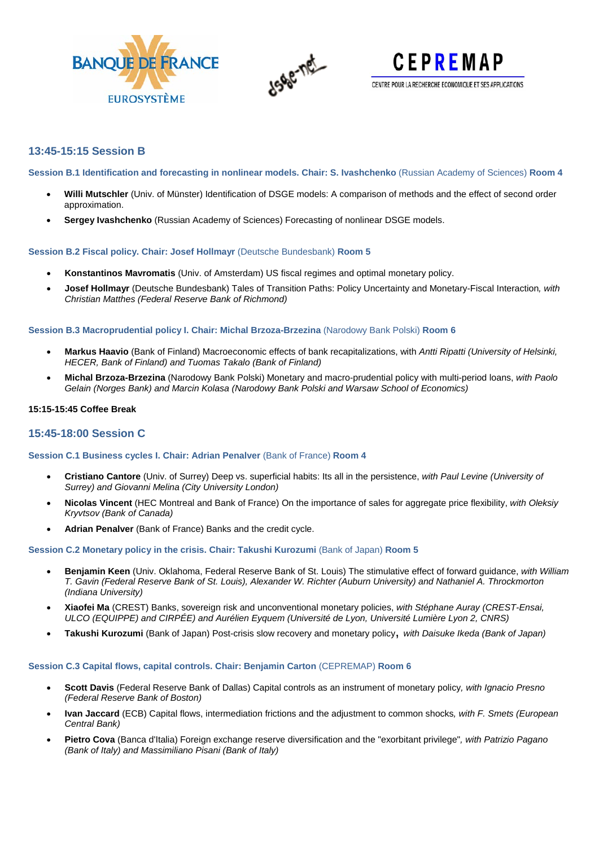





# **13:45-15:15 Session B**

**Session B.1 Identification and forecasting in nonlinear models. Chair: S. Ivashchenko** (Russian Academy of Sciences) **Room 4**

- **Willi Mutschler** (Univ. of Münster) Identification of DSGE models: A comparison of methods and the effect of second order approximation.
- **Sergey Ivashchenko** (Russian Academy of Sciences) Forecasting of nonlinear DSGE models.

#### **Session B.2 Fiscal policy. Chair: Josef Hollmayr** (Deutsche Bundesbank) **Room 5**

- **Konstantinos Mavromatis** (Univ. of Amsterdam) US fiscal regimes and optimal monetary policy.
- **Josef Hollmayr** (Deutsche Bundesbank) Tales of Transition Paths: Policy Uncertainty and Monetary-Fiscal Interaction*, with Christian Matthes (Federal Reserve Bank of Richmond)*

#### **Session B.3 Macroprudential policy I. Chair: Michal Brzoza-Brzezina** (Narodowy Bank Polski) **Room 6**

- **Markus Haavio** (Bank of Finland) Macroeconomic effects of bank recapitalizations, with *Antti Ripatti (University of Helsinki, HECER, Bank of Finland) and Tuomas Takalo (Bank of Finland)*
- **Michal Brzoza-Brzezina** (Narodowy Bank Polski) Monetary and macro-prudential policy with multi-period loans, *with Paolo Gelain (Norges Bank) and Marcin Kolasa (Narodowy Bank Polski and Warsaw School of Economics)*

#### **15:15-15:45 Coffee Break**

### **15:45-18:00 Session C**

#### **Session C.1 Business cycles I. Chair: Adrian Penalver** (Bank of France) **Room 4**

- **Cristiano Cantore** (Univ. of Surrey) Deep vs. superficial habits: Its all in the persistence, *with Paul Levine (University of Surrey) and Giovanni Melina (City University London)*
- **Nicolas Vincent** (HEC Montreal and Bank of France) On the importance of sales for aggregate price flexibility, *with Oleksiy Kryvtsov (Bank of Canada)*
- **Adrian Penalver** (Bank of France) Banks and the credit cycle.

#### **Session C.2 Monetary policy in the crisis. Chair: Takushi Kurozumi** (Bank of Japan) **Room 5**

- **Benjamin Keen** (Univ. Oklahoma, Federal Reserve Bank of St. Louis) The stimulative effect of forward guidance, *with William T. Gavin (Federal Reserve Bank of St. Louis), Alexander W. Richter (Auburn University) and Nathaniel A. Throckmorton (Indiana University)*
- **Xiaofei Ma** (CREST) Banks, sovereign risk and unconventional monetary policies, *with Stéphane Auray (CREST-Ensai, ULCO (EQUIPPE) and CIRPÉE) and Aurélien Eyquem (Université de Lyon, Université Lumière Lyon 2, CNRS)*
- **Takushi Kurozumi** (Bank of Japan) Post-crisis slow recovery and monetary policy, *with Daisuke Ikeda (Bank of Japan)*

#### **Session C.3 Capital flows, capital controls. Chair: Benjamin Carton** (CEPREMAP) **Room 6**

- **Scott Davis** (Federal Reserve Bank of Dallas) Capital controls as an instrument of monetary policy*, with Ignacio Presno (Federal Reserve Bank of Boston)*
- **Ivan Jaccard** (ECB) Capital flows, intermediation frictions and the adjustment to common shocks*, with F. Smets (European Central Bank)*
- **Pietro Cova** (Banca d'Italia) Foreign exchange reserve diversification and the "exorbitant privilege"*, with Patrizio Pagano (Bank of Italy) and Massimiliano Pisani (Bank of Italy)*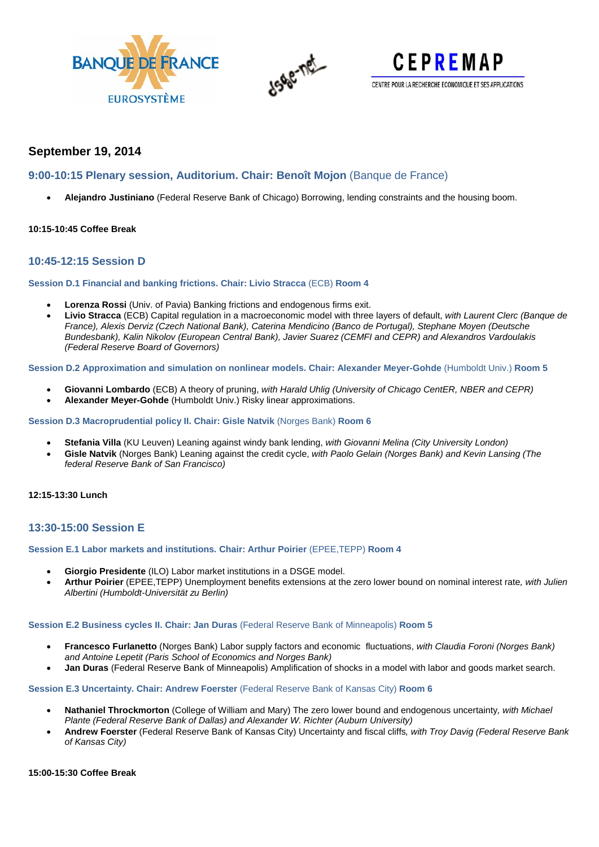





# **September 19, 2014**

# **9:00-10:15 Plenary session, Auditorium. Chair: Benoît Mojon** (Banque de France)

• **Alejandro Justiniano** (Federal Reserve Bank of Chicago) Borrowing, lending constraints and the housing boom.

### **10:15-10:45 Coffee Break**

## **10:45-12:15 Session D**

**Session D.1 Financial and banking frictions. Chair: Livio Stracca** (ECB) **Room 4**

- **Lorenza Rossi** (Univ. of Pavia) Banking frictions and endogenous firms exit.
- **Livio Stracca** (ECB) Capital regulation in a macroeconomic model with three layers of default, *with Laurent Clerc (Banque de France), Alexis Derviz (Czech National Bank), Caterina Mendicino (Banco de Portugal), Stephane Moyen (Deutsche Bundesbank), Kalin Nikolov (European Central Bank), Javier Suarez (CEMFI and CEPR) and Alexandros Vardoulakis (Federal Reserve Board of Governors)*

**Session D.2 Approximation and simulation on nonlinear models. Chair: Alexander Meyer-Gohde** (Humboldt Univ.) **Room 5**

- **Giovanni Lombardo** (ECB) A theory of pruning, *with Harald Uhlig (University of Chicago CentER, NBER and CEPR)*
- **Alexander Meyer-Gohde** (Humboldt Univ.) Risky linear approximations.

**Session D.3 Macroprudential policy II. Chair: Gisle Natvik** (Norges Bank) **Room 6**

- **Stefania Villa** (KU Leuven) Leaning against windy bank lending, *with Giovanni Melina (City University London)*
- **Gisle Natvik** (Norges Bank) Leaning against the credit cycle, *with Paolo Gelain (Norges Bank) and Kevin Lansing (The federal Reserve Bank of San Francisco)*

### **12:15-13:30 Lunch**

## **13:30-15:00 Session E**

#### **Session E.1 Labor markets and institutions. Chair: Arthur Poirier** (EPEE,TEPP) **Room 4**

- **Giorgio Presidente** (ILO) Labor market institutions in a DSGE model.
- **Arthur Poirier** (EPEE,TEPP) Unemployment benefits extensions at the zero lower bound on nominal interest rate*, with Julien Albertini (Humboldt-Universität zu Berlin)*

#### **Session E.2 Business cycles II. Chair: Jan Duras** (Federal Reserve Bank of Minneapolis) **Room 5**

- **Francesco Furlanetto** (Norges Bank) Labor supply factors and economic fluctuations, *with Claudia Foroni (Norges Bank) and Antoine Lepetit (Paris School of Economics and Norges Bank)*
- **Jan Duras** (Federal Reserve Bank of Minneapolis) Amplification of shocks in a model with labor and goods market search.

#### **Session E.3 Uncertainty. Chair: Andrew Foerster** (Federal Reserve Bank of Kansas City) **Room 6**

- **Nathaniel Throckmorton** (College of William and Mary) The zero lower bound and endogenous uncertainty*, with Michael Plante (Federal Reserve Bank of Dallas) and Alexander W. Richter (Auburn University)*
- **Andrew Foerster** (Federal Reserve Bank of Kansas City) Uncertainty and fiscal cliffs*, with Troy Davig (Federal Reserve Bank of Kansas City)*